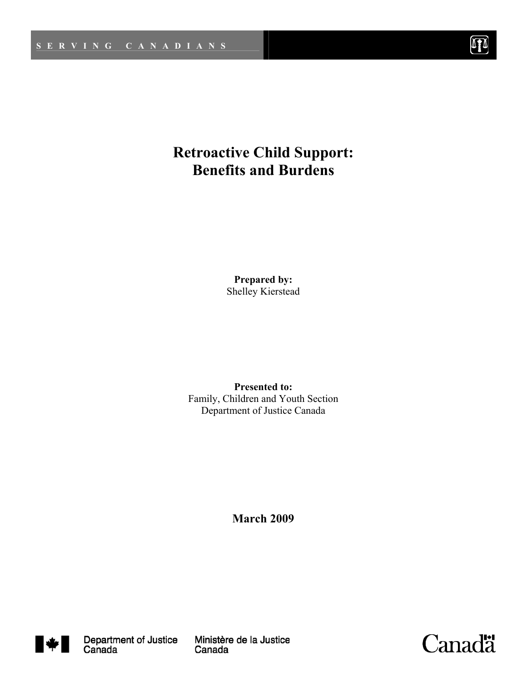

# **Retroactive Child Support: Benefits and Burdens**

**Prepared by:** Shelley Kierstead

**Presented to:**  Family, Children and Youth Section Department of Justice Canada

**March 2009** 



Ministère de la Justice Canada

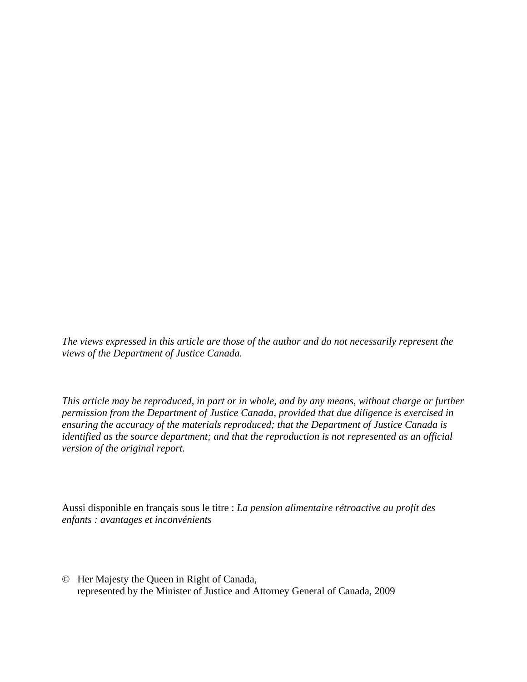*The views expressed in this article are those of the author and do not necessarily represent the views of the Department of Justice Canada.*

*This article may be reproduced, in part or in whole, and by any means, without charge or further permission from the Department of Justice Canada, provided that due diligence is exercised in ensuring the accuracy of the materials reproduced; that the Department of Justice Canada is identified as the source department; and that the reproduction is not represented as an official version of the original report.* 

Aussi disponible en français sous le titre : *La pension alimentaire rétroactive au profit des enfants : avantages et inconvénients* 

© Her Majesty the Queen in Right of Canada, represented by the Minister of Justice and Attorney General of Canada, 2009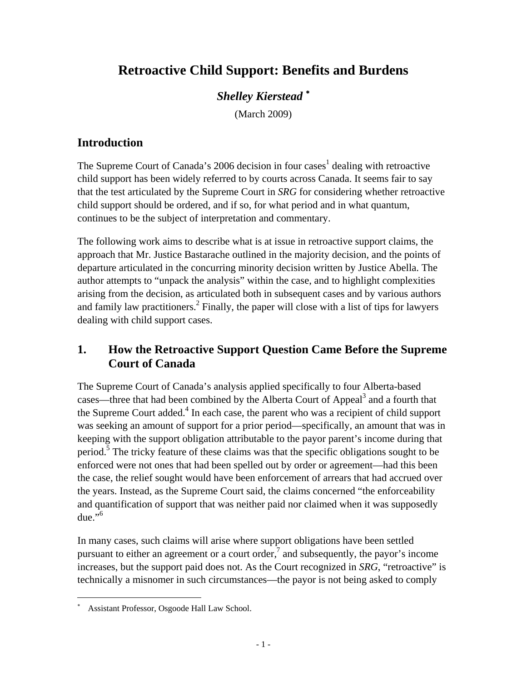# **Retroactive Child Support: Benefits and Burdens**

## *Shelley Kierstead* <sup>∗</sup>

(March 2009)

## **Introduction**

The Supreme Court of Canada's 2006 decision in four cases<sup>1</sup> dealing with retroactive child support has been widely referred to by courts across Canada. It seems fair to say that the test articulated by the Supreme Court in *SRG* for considering whether retroactive child support should be ordered, and if so, for what period and in what quantum, continues to be the subject of interpretation and commentary.

The following work aims to describe what is at issue in retroactive support claims, the approach that Mr. Justice Bastarache outlined in the majority decision, and the points of departure articulated in the concurring minority decision written by Justice Abella. The author attempts to "unpack the analysis" within the case, and to highlight complexities arising from the decision, as articulated both in subsequent cases and by various authors and family law practitioners.<sup>2</sup> Finally, the paper will close with a list of tips for lawyers dealing with child support cases.

## **1. How the Retroactive Support Question Came Before the Supreme Court of Canada**

The Supreme Court of Canada's analysis applied specifically to four Alberta-based cases—three that had been combined by the Alberta Court of Appeal<sup>3</sup> and a fourth that the Supreme Court added.<sup>4</sup> In each case, the parent who was a recipient of child support was seeking an amount of support for a prior period—specifically, an amount that was in keeping with the support obligation attributable to the payor parent's income during that period.<sup>5</sup> The tricky feature of these claims was that the specific obligations sought to be enforced were not ones that had been spelled out by order or agreement—had this been the case, the relief sought would have been enforcement of arrears that had accrued over the years. Instead, as the Supreme Court said, the claims concerned "the enforceability and quantification of support that was neither paid nor claimed when it was supposedly due." $\rm$ <sup>6</sup>

In many cases, such claims will arise where support obligations have been settled pursuant to either an agreement or a court order,<sup>7</sup> and subsequently, the payor's income increases, but the support paid does not. As the Court recognized in *SRG*, "retroactive" is technically a misnomer in such circumstances—the payor is not being asked to comply

1

<sup>∗</sup> Assistant Professor, Osgoode Hall Law School.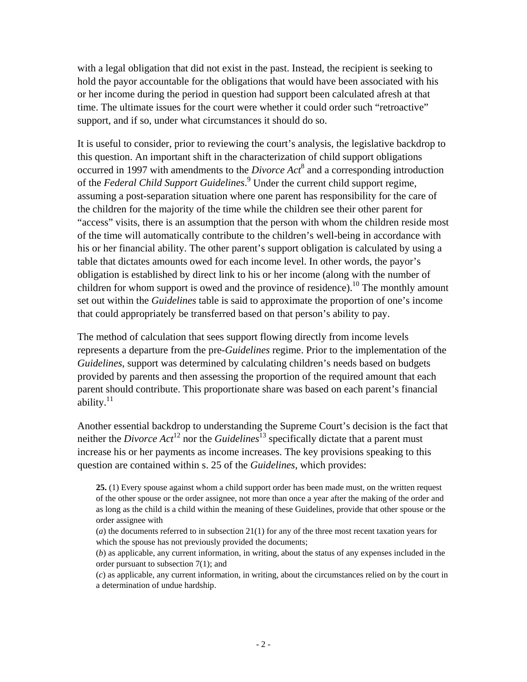with a legal obligation that did not exist in the past. Instead, the recipient is seeking to hold the payor accountable for the obligations that would have been associated with his or her income during the period in question had support been calculated afresh at that time. The ultimate issues for the court were whether it could order such "retroactive" support, and if so, under what circumstances it should do so.

It is useful to consider, prior to reviewing the court's analysis, the legislative backdrop to this question. An important shift in the characterization of child support obligations occurred in 1997 with amendments to the *Divorce Act*<sup>8</sup> and a corresponding introduction of the *Federal Child Support Guidelines*. 9 Under the current child support regime, assuming a post-separation situation where one parent has responsibility for the care of the children for the majority of the time while the children see their other parent for "access" visits, there is an assumption that the person with whom the children reside most of the time will automatically contribute to the children's well-being in accordance with his or her financial ability. The other parent's support obligation is calculated by using a table that dictates amounts owed for each income level. In other words, the payor's obligation is established by direct link to his or her income (along with the number of children for whom support is owed and the province of residence).<sup>10</sup> The monthly amount set out within the *Guidelines* table is said to approximate the proportion of one's income that could appropriately be transferred based on that person's ability to pay.

The method of calculation that sees support flowing directly from income levels represents a departure from the pre-*Guidelines* regime. Prior to the implementation of the *Guidelines*, support was determined by calculating children's needs based on budgets provided by parents and then assessing the proportion of the required amount that each parent should contribute. This proportionate share was based on each parent's financial ability. $11$ 

Another essential backdrop to understanding the Supreme Court's decision is the fact that neither the *Divorce Act*<sup>12</sup> nor the *Guidelines*<sup>13</sup> specifically dictate that a parent must increase his or her payments as income increases. The key provisions speaking to this question are contained within s. 25 of the *Guidelines*, which provides:

- (*a*) the documents referred to in subsection 21(1) for any of the three most recent taxation years for which the spouse has not previously provided the documents;
- (*b*) as applicable, any current information, in writing, about the status of any expenses included in the order pursuant to subsection 7(1); and

(*c*) as applicable, any current information, in writing, about the circumstances relied on by the court in a determination of undue hardship.

**<sup>25.</sup>** (1) Every spouse against whom a child support order has been made must, on the written request of the other spouse or the order assignee, not more than once a year after the making of the order and as long as the child is a child within the meaning of these Guidelines, provide that other spouse or the order assignee with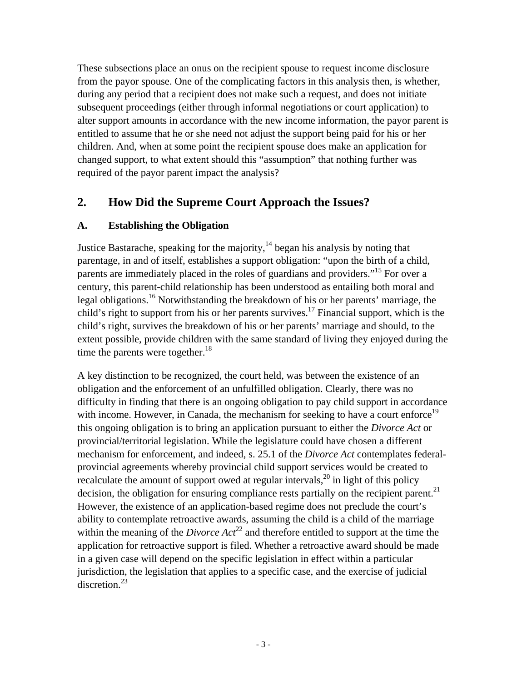These subsections place an onus on the recipient spouse to request income disclosure from the payor spouse. One of the complicating factors in this analysis then, is whether, during any period that a recipient does not make such a request, and does not initiate subsequent proceedings (either through informal negotiations or court application) to alter support amounts in accordance with the new income information, the payor parent is entitled to assume that he or she need not adjust the support being paid for his or her children. And, when at some point the recipient spouse does make an application for changed support, to what extent should this "assumption" that nothing further was required of the payor parent impact the analysis?

## **2. How Did the Supreme Court Approach the Issues?**

### **A. Establishing the Obligation**

Justice Bastarache, speaking for the majority, $14$  began his analysis by noting that parentage, in and of itself, establishes a support obligation: "upon the birth of a child, parents are immediately placed in the roles of guardians and providers."15 For over a century, this parent-child relationship has been understood as entailing both moral and legal obligations.<sup>16</sup> Notwithstanding the breakdown of his or her parents' marriage, the child's right to support from his or her parents survives.<sup>17</sup> Financial support, which is the child's right, survives the breakdown of his or her parents' marriage and should, to the extent possible, provide children with the same standard of living they enjoyed during the time the parents were together. $18$ 

A key distinction to be recognized, the court held, was between the existence of an obligation and the enforcement of an unfulfilled obligation. Clearly, there was no difficulty in finding that there is an ongoing obligation to pay child support in accordance with income. However, in Canada, the mechanism for seeking to have a court enforce<sup>19</sup> this ongoing obligation is to bring an application pursuant to either the *Divorce Act* or provincial/territorial legislation. While the legislature could have chosen a different mechanism for enforcement, and indeed, s. 25.1 of the *Divorce Act* contemplates federalprovincial agreements whereby provincial child support services would be created to recalculate the amount of support owed at regular intervals,  $^{20}$  in light of this policy decision, the obligation for ensuring compliance rests partially on the recipient parent.<sup>21</sup> However, the existence of an application-based regime does not preclude the court's ability to contemplate retroactive awards, assuming the child is a child of the marriage within the meaning of the *Divorce*  $Act^{22}$  and therefore entitled to support at the time the application for retroactive support is filed. Whether a retroactive award should be made in a given case will depend on the specific legislation in effect within a particular jurisdiction, the legislation that applies to a specific case, and the exercise of judicial discretion.<sup>23</sup>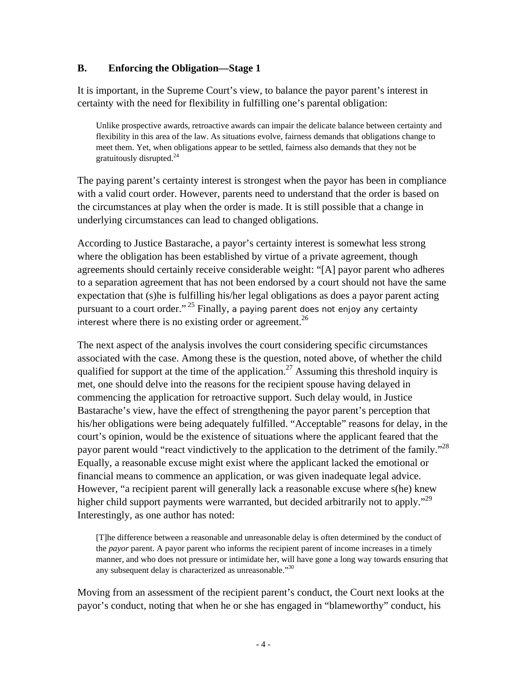#### **B. Enforcing the Obligation—Stage 1**

It is important, in the Supreme Court's view, to balance the payor parent's interest in certainty with the need for flexibility in fulfilling one's parental obligation:

Unlike prospective awards, retroactive awards can impair the delicate balance between certainty and flexibility in this area of the law. As situations evolve, fairness demands that obligations change to meet them. Yet, when obligations appear to be settled, fairness also demands that they not be gratuitously disrupted.<sup>24</sup>

The paying parent's certainty interest is strongest when the payor has been in compliance with a valid court order. However, parents need to understand that the order is based on the circumstances at play when the order is made. It is still possible that a change in underlying circumstances can lead to changed obligations.

According to Justice Bastarache, a payor's certainty interest is somewhat less strong where the obligation has been established by virtue of a private agreement, though agreements should certainly receive considerable weight: "[A] payor parent who adheres to a separation agreement that has not been endorsed by a court should not have the same expectation that (s)he is fulfilling his/her legal obligations as does a payor parent acting pursuant to a court order." <sup>25</sup> Finally, a paying parent does not enjoy any certainty interest where there is no existing order or agreement.<sup>26</sup>

The next aspect of the analysis involves the court considering specific circumstances associated with the case. Among these is the question, noted above, of whether the child qualified for support at the time of the application.<sup>27</sup> Assuming this threshold inquiry is met, one should delve into the reasons for the recipient spouse having delayed in commencing the application for retroactive support. Such delay would, in Justice Bastarache's view, have the effect of strengthening the payor parent's perception that his/her obligations were being adequately fulfilled. "Acceptable" reasons for delay, in the court's opinion, would be the existence of situations where the applicant feared that the payor parent would "react vindictively to the application to the detriment of the family."<sup>28</sup> Equally, a reasonable excuse might exist where the applicant lacked the emotional or financial means to commence an application, or was given inadequate legal advice. However, "a recipient parent will generally lack a reasonable excuse where s(he) knew higher child support payments were warranted, but decided arbitrarily not to apply."<sup>29</sup> Interestingly, as one author has noted:

[T]he difference between a reasonable and unreasonable delay is often determined by the conduct of the *payor* parent. A payor parent who informs the recipient parent of income increases in a timely manner, and who does not pressure or intimidate her, will have gone a long way towards ensuring that any subsequent delay is characterized as unreasonable."<sup>30</sup>

Moving from an assessment of the recipient parent's conduct, the Court next looks at the payor's conduct, noting that when he or she has engaged in "blameworthy" conduct, his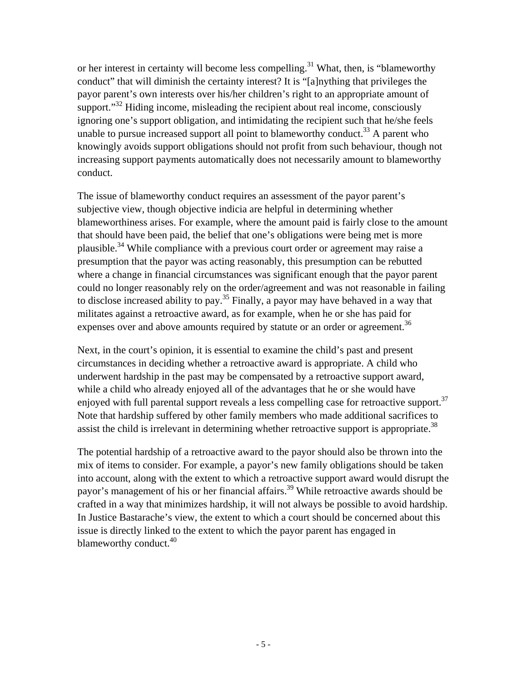or her interest in certainty will become less compelling.<sup>31</sup> What, then, is "blameworthy conduct" that will diminish the certainty interest? It is "[a]nything that privileges the payor parent's own interests over his/her children's right to an appropriate amount of support. $32$  Hiding income, misleading the recipient about real income, consciously ignoring one's support obligation, and intimidating the recipient such that he/she feels unable to pursue increased support all point to blameworthy conduct.<sup>33</sup> A parent who knowingly avoids support obligations should not profit from such behaviour, though not increasing support payments automatically does not necessarily amount to blameworthy conduct.

The issue of blameworthy conduct requires an assessment of the payor parent's subjective view, though objective indicia are helpful in determining whether blameworthiness arises. For example, where the amount paid is fairly close to the amount that should have been paid, the belief that one's obligations were being met is more plausible.34 While compliance with a previous court order or agreement may raise a presumption that the payor was acting reasonably, this presumption can be rebutted where a change in financial circumstances was significant enough that the payor parent could no longer reasonably rely on the order/agreement and was not reasonable in failing to disclose increased ability to pay.<sup>35</sup> Finally, a payor may have behaved in a way that militates against a retroactive award, as for example, when he or she has paid for expenses over and above amounts required by statute or an order or agreement.<sup>36</sup>

Next, in the court's opinion, it is essential to examine the child's past and present circumstances in deciding whether a retroactive award is appropriate. A child who underwent hardship in the past may be compensated by a retroactive support award, while a child who already enjoyed all of the advantages that he or she would have enjoyed with full parental support reveals a less compelling case for retroactive support.<sup>37</sup> Note that hardship suffered by other family members who made additional sacrifices to assist the child is irrelevant in determining whether retroactive support is appropriate.<sup>38</sup>

The potential hardship of a retroactive award to the payor should also be thrown into the mix of items to consider. For example, a payor's new family obligations should be taken into account, along with the extent to which a retroactive support award would disrupt the payor's management of his or her financial affairs.<sup>39</sup> While retroactive awards should be crafted in a way that minimizes hardship, it will not always be possible to avoid hardship. In Justice Bastarache's view, the extent to which a court should be concerned about this issue is directly linked to the extent to which the payor parent has engaged in blameworthy conduct.<sup>40</sup>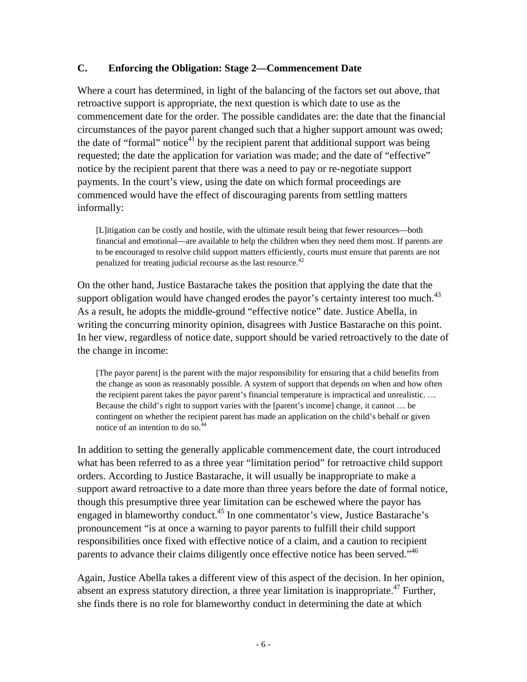#### **C. Enforcing the Obligation: Stage 2—Commencement Date**

Where a court has determined, in light of the balancing of the factors set out above, that retroactive support is appropriate, the next question is which date to use as the commencement date for the order. The possible candidates are: the date that the financial circumstances of the payor parent changed such that a higher support amount was owed; the date of "formal" notice $41$  by the recipient parent that additional support was being requested; the date the application for variation was made; and the date of "effective" notice by the recipient parent that there was a need to pay or re-negotiate support payments. In the court's view, using the date on which formal proceedings are commenced would have the effect of discouraging parents from settling matters informally:

[L]itigation can be costly and hostile, with the ultimate result being that fewer resources—both financial and emotional—are available to help the children when they need them most. If parents are to be encouraged to resolve child support matters efficiently, courts must ensure that parents are not penalized for treating judicial recourse as the last resource.<sup>42</sup>

On the other hand, Justice Bastarache takes the position that applying the date that the support obligation would have changed erodes the payor's certainty interest too much. $43$ As a result, he adopts the middle-ground "effective notice" date. Justice Abella, in writing the concurring minority opinion, disagrees with Justice Bastarache on this point. In her view, regardless of notice date, support should be varied retroactively to the date of the change in income:

[The payor parent] is the parent with the major responsibility for ensuring that a child benefits from the change as soon as reasonably possible. A system of support that depends on when and how often the recipient parent takes the payor parent's financial temperature is impractical and unrealistic. … Because the child's right to support varies with the [parent's income] change, it cannot … be contingent on whether the recipient parent has made an application on the child's behalf or given notice of an intention to do so.44

In addition to setting the generally applicable commencement date, the court introduced what has been referred to as a three year "limitation period" for retroactive child support orders. According to Justice Bastarache, it will usually be inappropriate to make a support award retroactive to a date more than three years before the date of formal notice, though this presumptive three year limitation can be eschewed where the payor has engaged in blameworthy conduct.45 In one commentator's view, Justice Bastarache's pronouncement "is at once a warning to payor parents to fulfill their child support responsibilities once fixed with effective notice of a claim, and a caution to recipient parents to advance their claims diligently once effective notice has been served."46

Again, Justice Abella takes a different view of this aspect of the decision. In her opinion, absent an express statutory direction, a three year limitation is inappropriate.<sup>47</sup> Further, she finds there is no role for blameworthy conduct in determining the date at which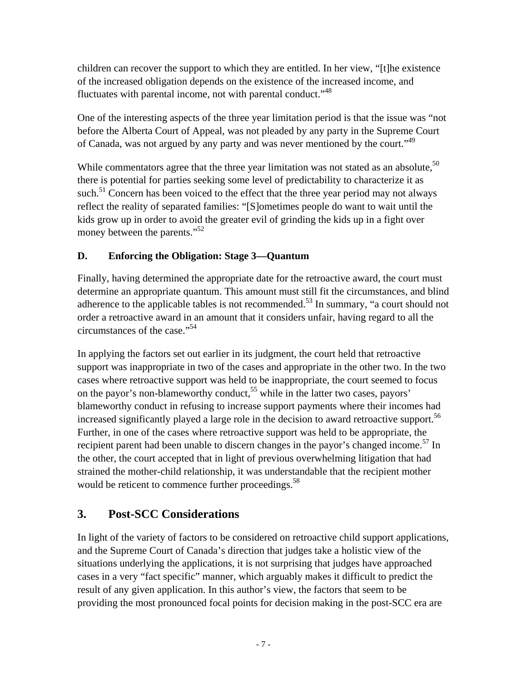children can recover the support to which they are entitled. In her view, "[t]he existence of the increased obligation depends on the existence of the increased income, and fluctuates with parental income, not with parental conduct."<sup>48</sup>

One of the interesting aspects of the three year limitation period is that the issue was "not before the Alberta Court of Appeal, was not pleaded by any party in the Supreme Court of Canada, was not argued by any party and was never mentioned by the court."<sup>49</sup>

While commentators agree that the three year limitation was not stated as an absolute,  $50$ there is potential for parties seeking some level of predictability to characterize it as such.<sup>51</sup> Concern has been voiced to the effect that the three year period may not always reflect the reality of separated families: "[S]ometimes people do want to wait until the kids grow up in order to avoid the greater evil of grinding the kids up in a fight over money between the parents."<sup>52</sup>

### **D. Enforcing the Obligation: Stage 3—Quantum**

Finally, having determined the appropriate date for the retroactive award, the court must determine an appropriate quantum. This amount must still fit the circumstances, and blind adherence to the applicable tables is not recommended.<sup>53</sup> In summary, "a court should not order a retroactive award in an amount that it considers unfair, having regard to all the circumstances of the case."54

In applying the factors set out earlier in its judgment, the court held that retroactive support was inappropriate in two of the cases and appropriate in the other two. In the two cases where retroactive support was held to be inappropriate, the court seemed to focus on the payor's non-blameworthy conduct,<sup>55</sup> while in the latter two cases, payors' blameworthy conduct in refusing to increase support payments where their incomes had increased significantly played a large role in the decision to award retroactive support.<sup>56</sup> Further, in one of the cases where retroactive support was held to be appropriate, the recipient parent had been unable to discern changes in the payor's changed income.<sup>57</sup> In the other, the court accepted that in light of previous overwhelming litigation that had strained the mother-child relationship, it was understandable that the recipient mother would be reticent to commence further proceedings.<sup>58</sup>

## **3. Post-SCC Considerations**

In light of the variety of factors to be considered on retroactive child support applications, and the Supreme Court of Canada's direction that judges take a holistic view of the situations underlying the applications, it is not surprising that judges have approached cases in a very "fact specific" manner, which arguably makes it difficult to predict the result of any given application. In this author's view, the factors that seem to be providing the most pronounced focal points for decision making in the post-SCC era are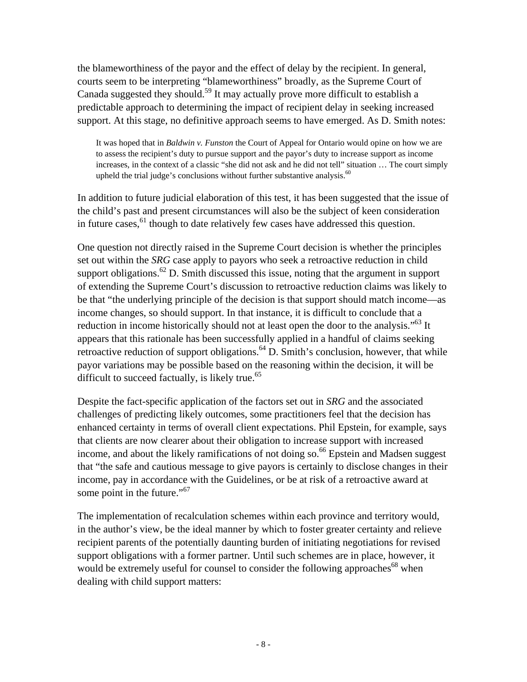the blameworthiness of the payor and the effect of delay by the recipient. In general, courts seem to be interpreting "blameworthiness" broadly, as the Supreme Court of Canada suggested they should.<sup>59</sup> It may actually prove more difficult to establish a predictable approach to determining the impact of recipient delay in seeking increased support. At this stage, no definitive approach seems to have emerged. As D. Smith notes:

It was hoped that in *Baldwin v. Funston* the Court of Appeal for Ontario would opine on how we are to assess the recipient's duty to pursue support and the payor's duty to increase support as income increases, in the context of a classic "she did not ask and he did not tell" situation … The court simply upheld the trial judge's conclusions without further substantive analysis. $60$ 

In addition to future judicial elaboration of this test, it has been suggested that the issue of the child's past and present circumstances will also be the subject of keen consideration in future cases,<sup>61</sup> though to date relatively few cases have addressed this question.

One question not directly raised in the Supreme Court decision is whether the principles set out within the *SRG* case apply to payors who seek a retroactive reduction in child support obligations.<sup>62</sup> D. Smith discussed this issue, noting that the argument in support of extending the Supreme Court's discussion to retroactive reduction claims was likely to be that "the underlying principle of the decision is that support should match income—as income changes, so should support. In that instance, it is difficult to conclude that a reduction in income historically should not at least open the door to the analysis."<sup>63</sup> It appears that this rationale has been successfully applied in a handful of claims seeking retroactive reduction of support obligations.<sup>64</sup> D. Smith's conclusion, however, that while payor variations may be possible based on the reasoning within the decision, it will be difficult to succeed factually, is likely true. $65$ 

Despite the fact-specific application of the factors set out in *SRG* and the associated challenges of predicting likely outcomes, some practitioners feel that the decision has enhanced certainty in terms of overall client expectations. Phil Epstein, for example, says that clients are now clearer about their obligation to increase support with increased income, and about the likely ramifications of not doing so.<sup>66</sup> Epstein and Madsen suggest that "the safe and cautious message to give payors is certainly to disclose changes in their income, pay in accordance with the Guidelines, or be at risk of a retroactive award at some point in the future."<sup>67</sup>

The implementation of recalculation schemes within each province and territory would, in the author's view, be the ideal manner by which to foster greater certainty and relieve recipient parents of the potentially daunting burden of initiating negotiations for revised support obligations with a former partner. Until such schemes are in place, however, it would be extremely useful for counsel to consider the following approaches<sup>68</sup> when dealing with child support matters: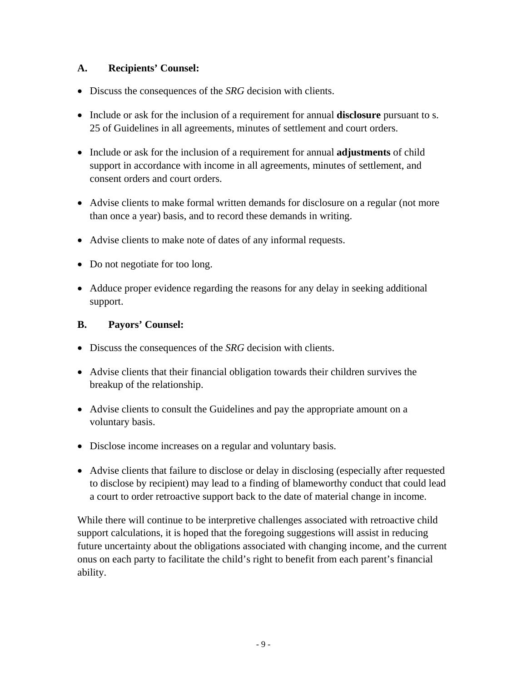#### **A. Recipients' Counsel:**

- Discuss the consequences of the *SRG* decision with clients.
- Include or ask for the inclusion of a requirement for annual **disclosure** pursuant to s. 25 of Guidelines in all agreements, minutes of settlement and court orders.
- Include or ask for the inclusion of a requirement for annual **adjustments** of child support in accordance with income in all agreements, minutes of settlement, and consent orders and court orders.
- Advise clients to make formal written demands for disclosure on a regular (not more than once a year) basis, and to record these demands in writing.
- Advise clients to make note of dates of any informal requests.
- Do not negotiate for too long.
- Adduce proper evidence regarding the reasons for any delay in seeking additional support.

#### **B. Payors' Counsel:**

- Discuss the consequences of the *SRG* decision with clients.
- Advise clients that their financial obligation towards their children survives the breakup of the relationship.
- Advise clients to consult the Guidelines and pay the appropriate amount on a voluntary basis.
- Disclose income increases on a regular and voluntary basis.
- Advise clients that failure to disclose or delay in disclosing (especially after requested to disclose by recipient) may lead to a finding of blameworthy conduct that could lead a court to order retroactive support back to the date of material change in income.

While there will continue to be interpretive challenges associated with retroactive child support calculations, it is hoped that the foregoing suggestions will assist in reducing future uncertainty about the obligations associated with changing income, and the current onus on each party to facilitate the child's right to benefit from each parent's financial ability.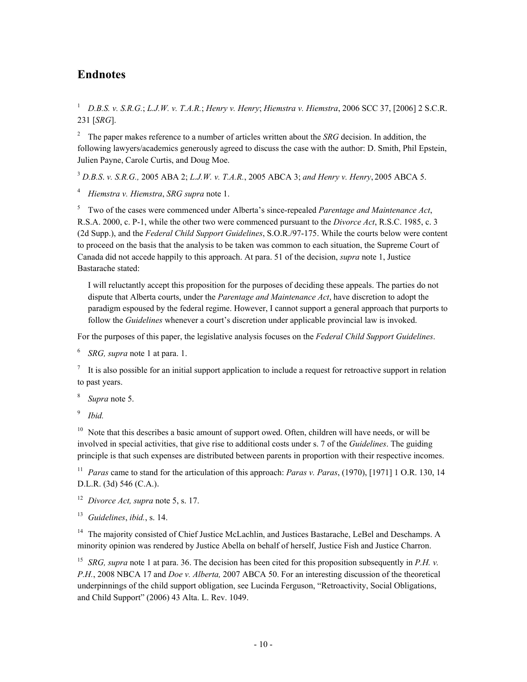### **Endnotes**

<sup>1</sup> *D.B.S. v. S.R.G.*; *L.J.W. v. T.A.R.*; *Henry v. Henry*; *Hiemstra v. Hiemstra*, 2006 SCC 37, [2006] 2 S.C.R. 231 [*SRG*].

2 The paper makes reference to a number of articles written about the *SRG* decision. In addition, the following lawyers/academics generously agreed to discuss the case with the author: D. Smith, Phil Epstein, Julien Payne, Carole Curtis, and Doug Moe.

<sup>3</sup> *D.B.S*. *v. S.R.G.,* 2005 ABA 2; *L.J.W. v. T.A.R.*, 2005 ABCA 3; *and Henry v. Henry*, 2005 ABCA 5.

<sup>4</sup> *Hiemstra v. Hiemstra*, *SRG supra* note 1.

5 Two of the cases were commenced under Alberta's since-repealed *Parentage and Maintenance Act*, R.S.A. 2000, c. P-1, while the other two were commenced pursuant to the *Divorce Act*, R.S.C. 1985, c. 3 (2d Supp.), and the *Federal Child Support Guidelines*, S.O.R./97-175. While the courts below were content to proceed on the basis that the analysis to be taken was common to each situation, the Supreme Court of Canada did not accede happily to this approach. At para. 51 of the decision, *supra* note 1, Justice Bastarache stated:

I will reluctantly accept this proposition for the purposes of deciding these appeals. The parties do not dispute that Alberta courts, under the *Parentage and Maintenance Act*, have discretion to adopt the paradigm espoused by the federal regime. However, I cannot support a general approach that purports to follow the *Guidelines* whenever a court's discretion under applicable provincial law is invoked.

For the purposes of this paper, the legislative analysis focuses on the *Federal Child Support Guidelines*.

<sup>6</sup> *SRG, supra* note 1 at para. 1.

 $<sup>7</sup>$  It is also possible for an initial support application to include a request for retroactive support in relation</sup> to past years.

<sup>8</sup> *Supra* note 5.

<sup>9</sup> *Ibid.*

 $10$  Note that this describes a basic amount of support owed. Often, children will have needs, or will be involved in special activities, that give rise to additional costs under s. 7 of the *Guidelines*. The guiding principle is that such expenses are distributed between parents in proportion with their respective incomes.

<sup>11</sup> *Paras* came to stand for the articulation of this approach: *Paras v. Paras*, (1970), [1971] 1 O.R. 130, 14 D.L.R. (3d) 546 (C.A.).

<sup>12</sup> *Divorce Act, supra* note 5, s. 17.

<sup>13</sup> *Guidelines*, *ibid.*, s. 14.

<sup>14</sup> The majority consisted of Chief Justice McLachlin, and Justices Bastarache, LeBel and Deschamps. A minority opinion was rendered by Justice Abella on behalf of herself, Justice Fish and Justice Charron.

<sup>15</sup> *SRG, supra* note 1 at para. 36. The decision has been cited for this proposition subsequently in *P.H. v. P.H.*, 2008 NBCA 17 and *Doe v. Alberta,* 2007 ABCA 50. For an interesting discussion of the theoretical underpinnings of the child support obligation, see Lucinda Ferguson, "Retroactivity, Social Obligations, and Child Support" (2006) 43 Alta. L. Rev. 1049.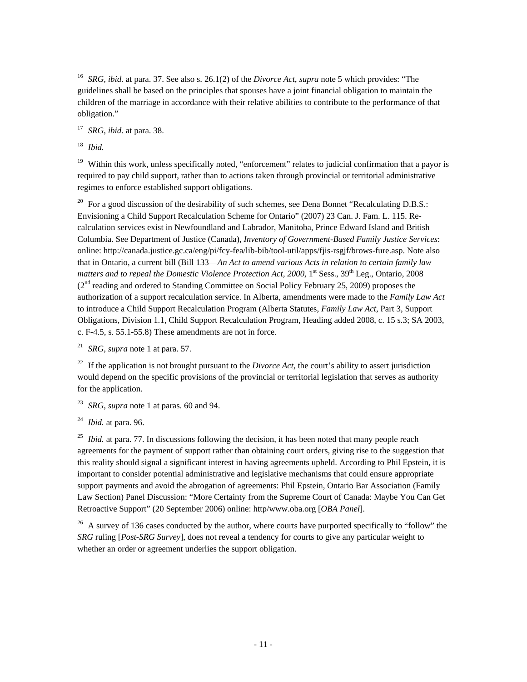<sup>16</sup> *SRG, ibid.* at para. 37. See also s. 26.1(2) of the *Divorce Act*, *supra* note 5 which provides: "The guidelines shall be based on the principles that spouses have a joint financial obligation to maintain the children of the marriage in accordance with their relative abilities to contribute to the performance of that obligation."

<sup>17</sup> *SRG, ibid.* at para. 38.

<sup>18</sup> *Ibid.*

<sup>19</sup> Within this work, unless specifically noted, "enforcement" relates to judicial confirmation that a payor is required to pay child support, rather than to actions taken through provincial or territorial administrative regimes to enforce established support obligations.

<sup>20</sup> For a good discussion of the desirability of such schemes, see Dena Bonnet "Recalculating D.B.S.: Envisioning a Child Support Recalculation Scheme for Ontario" (2007) 23 Can. J. Fam. L. 115. Recalculation services exist in Newfoundland and Labrador, Manitoba, Prince Edward Island and British Columbia. See Department of Justice (Canada), *Inventory of Government-Based Family Justice Services*: online: http://canada.justice.gc.ca/eng/pi/fcy-fea/lib-bib/tool-util/apps/fjis-rsgjf/brows-fure.asp. Note also that in Ontario, a current bill (Bill 133—*An Act to amend various Acts in relation to certain family law matters and to repeal the Domestic Violence Protection Act, 2000*, 1<sup>st</sup> Sess., 39<sup>th</sup> Leg., Ontario, 2008  $(2<sup>nd</sup>$  reading and ordered to Standing Committee on Social Policy February 25, 2009) proposes the authorization of a support recalculation service. In Alberta, amendments were made to the *Family Law Act* to introduce a Child Support Recalculation Program (Alberta Statutes, *Family Law Act*, Part 3, Support Obligations, Division 1.1, Child Support Recalculation Program, Heading added 2008, c. 15 s.3; SA 2003, c. F-4.5, s. 55.1-55.8) These amendments are not in force.

<sup>21</sup> *SRG, supra* note 1 at para. 57.

<sup>22</sup> If the application is not brought pursuant to the *Divorce Act*, the court's ability to assert jurisdiction would depend on the specific provisions of the provincial or territorial legislation that serves as authority for the application.

<sup>23</sup> *SRG, supra* note 1 at paras. 60 and 94.

<sup>24</sup> *Ibid.* at para. 96.

<sup>25</sup> *Ibid.* at para. 77. In discussions following the decision, it has been noted that many people reach agreements for the payment of support rather than obtaining court orders, giving rise to the suggestion that this reality should signal a significant interest in having agreements upheld. According to Phil Epstein, it is important to consider potential administrative and legislative mechanisms that could ensure appropriate support payments and avoid the abrogation of agreements: Phil Epstein, Ontario Bar Association (Family Law Section) Panel Discussion: "More Certainty from the Supreme Court of Canada: Maybe You Can Get Retroactive Support" (20 September 2006) online: http/www.oba.org [*OBA Panel*].

<sup>26</sup> A survey of 136 cases conducted by the author, where courts have purported specifically to "follow" the *SRG* ruling [*Post-SRG Survey*], does not reveal a tendency for courts to give any particular weight to whether an order or agreement underlies the support obligation.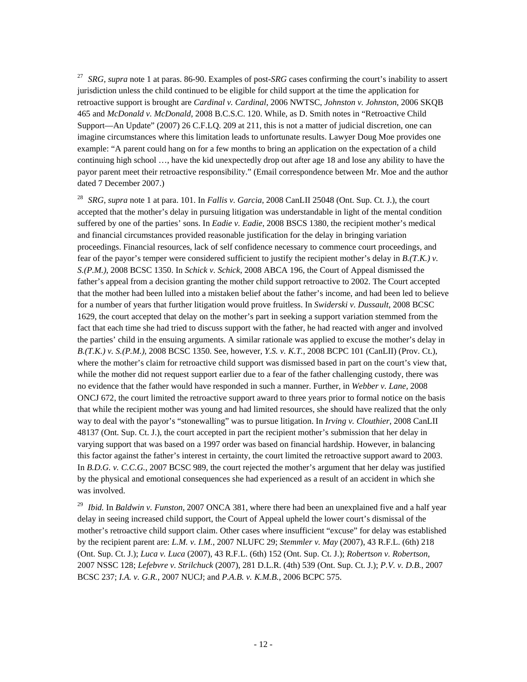<sup>27</sup> *SRG, supra* note 1 at paras. 86-90. Examples of post-*SRG* cases confirming the court's inability to assert jurisdiction unless the child continued to be eligible for child support at the time the application for retroactive support is brought are *Cardinal v. Cardinal*, 2006 NWTSC, *Johnston v. Johnston*, 2006 SKQB 465 and *McDonald v. McDonald*, 2008 B.C.S.C. 120. While, as D. Smith notes in "Retroactive Child Support—An Update" (2007) 26 C.F.LQ. 209 at 211, this is not a matter of judicial discretion, one can imagine circumstances where this limitation leads to unfortunate results. Lawyer Doug Moe provides one example: "A parent could hang on for a few months to bring an application on the expectation of a child continuing high school …, have the kid unexpectedly drop out after age 18 and lose any ability to have the payor parent meet their retroactive responsibility." (Email correspondence between Mr. Moe and the author dated 7 December 2007.)

<sup>28</sup> *SRG*, *supra* note 1 at para. 101. In *Fallis v. Garcia*, 2008 CanLII 25048 (Ont. Sup. Ct. J.), the court accepted that the mother's delay in pursuing litigation was understandable in light of the mental condition suffered by one of the parties' sons. In *Eadie v. Eadie*, 2008 BSCS 1380, the recipient mother's medical and financial circumstances provided reasonable justification for the delay in bringing variation proceedings. Financial resources, lack of self confidence necessary to commence court proceedings, and fear of the payor's temper were considered sufficient to justify the recipient mother's delay in *B.(T.K.) v. S.(P.M.)*, 2008 BCSC 1350. In *Schick v. Schick*, 2008 ABCA 196, the Court of Appeal dismissed the father's appeal from a decision granting the mother child support retroactive to 2002. The Court accepted that the mother had been lulled into a mistaken belief about the father's income, and had been led to believe for a number of years that further litigation would prove fruitless. In *Swiderski v. Dussault*, 2008 BCSC 1629, the court accepted that delay on the mother's part in seeking a support variation stemmed from the fact that each time she had tried to discuss support with the father, he had reacted with anger and involved the parties' child in the ensuing arguments. A similar rationale was applied to excuse the mother's delay in *B.(T.K.) v. S.(P.M.)*, 2008 BCSC 1350. See, however, *Y.S. v. K.T.*, 2008 BCPC 101 (CanLII) (Prov. Ct.), where the mother's claim for retroactive child support was dismissed based in part on the court's view that, while the mother did not request support earlier due to a fear of the father challenging custody, there was no evidence that the father would have responded in such a manner. Further, in *Webber v. Lane,* 2008 ONCJ 672, the court limited the retroactive support award to three years prior to formal notice on the basis that while the recipient mother was young and had limited resources, she should have realized that the only way to deal with the payor's "stonewalling" was to pursue litigation. In *Irving v. Clouthier*, 2008 CanLII 48137 (Ont. Sup. Ct. J.), the court accepted in part the recipient mother's submission that her delay in varying support that was based on a 1997 order was based on financial hardship. However, in balancing this factor against the father's interest in certainty, the court limited the retroactive support award to 2003. In *B.D.G. v. C.C.G.*, 2007 BCSC 989, the court rejected the mother's argument that her delay was justified by the physical and emotional consequences she had experienced as a result of an accident in which she was involved.

<sup>29</sup> *Ibid.* In *Baldwin v. Funston*, 2007 ONCA 381, where there had been an unexplained five and a half year delay in seeing increased child support, the Court of Appeal upheld the lower court's dismissal of the mother's retroactive child support claim. Other cases where insufficient "excuse" for delay was established by the recipient parent are: *L.M. v. I.M.*, 2007 NLUFC 29; *Stemmler v. May* (2007), 43 R.F.L. (6th) 218 (Ont. Sup. Ct. J.); *Luca v. Luca* (2007), 43 R.F.L. (6th) 152 (Ont. Sup. Ct. J.); *Robertson v. Robertson*, 2007 NSSC 128; *Lefebvre v. Strilchuck* (2007), 281 D.L.R. (4th) 539 (Ont. Sup. Ct. J.); *P.V. v. D.B.*, 2007 BCSC 237; *I.A. v. G.R.*, 2007 NUCJ; and *P.A.B. v. K.M.B.*, 2006 BCPC 575.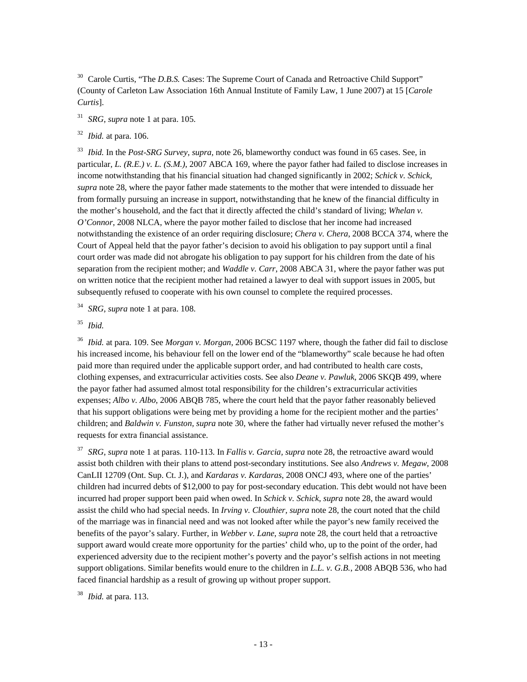<sup>30</sup> Carole Curtis, "The *D.B.S.* Cases: The Supreme Court of Canada and Retroactive Child Support" (County of Carleton Law Association 16th Annual Institute of Family Law, 1 June 2007) at 15 [*Carole Curtis*].

<sup>31</sup> *SRG*, *supra* note 1 at para. 105.

<sup>32</sup> *Ibid.* at para. 106.

<sup>33</sup> *Ibid.* In the *Post-SRG Survey*, *supra,* note 26, blameworthy conduct was found in 65 cases. See, in particular, *L. (R.E.) v. L. (S.M.)*, 2007 ABCA 169, where the payor father had failed to disclose increases in income notwithstanding that his financial situation had changed significantly in 2002; *Schick v. Schick, supra* note 28, where the payor father made statements to the mother that were intended to dissuade her from formally pursuing an increase in support, notwithstanding that he knew of the financial difficulty in the mother's household, and the fact that it directly affected the child's standard of living; *Whelan v. O'Connor*, 2008 NLCA, where the payor mother failed to disclose that her income had increased notwithstanding the existence of an order requiring disclosure; *Chera v. Chera*, 2008 BCCA 374, where the Court of Appeal held that the payor father's decision to avoid his obligation to pay support until a final court order was made did not abrogate his obligation to pay support for his children from the date of his separation from the recipient mother; and *Waddle v. Carr*, 2008 ABCA 31, where the payor father was put on written notice that the recipient mother had retained a lawyer to deal with support issues in 2005, but subsequently refused to cooperate with his own counsel to complete the required processes.

<sup>34</sup> *SRG*, *supra* note 1 at para. 108.

<sup>35</sup> *Ibid.*

<sup>36</sup> *Ibid.* at para. 109. See *Morgan v. Morgan*, 2006 BCSC 1197 where, though the father did fail to disclose his increased income, his behaviour fell on the lower end of the "blameworthy" scale because he had often paid more than required under the applicable support order, and had contributed to health care costs, clothing expenses, and extracurricular activities costs. See also *Deane v. Pawluk*, 2006 SKQB 499, where the payor father had assumed almost total responsibility for the children's extracurricular activities expenses; *Albo v. Albo*, 2006 ABQB 785, where the court held that the payor father reasonably believed that his support obligations were being met by providing a home for the recipient mother and the parties' children; and *Baldwin v. Funston, supra* note 30, where the father had virtually never refused the mother's requests for extra financial assistance.

<sup>37</sup> *SRG*, *supra* note 1 at paras. 110-113. In *Fallis v. Garcia, supra* note 28, the retroactive award would assist both children with their plans to attend post-secondary institutions. See also *Andrews v. Megaw*, 2008 CanLII 12709 (Ont. Sup. Ct. J.), and *Kardaras v. Kardaras*, 2008 ONCJ 493, where one of the parties' children had incurred debts of \$12,000 to pay for post-secondary education. This debt would not have been incurred had proper support been paid when owed. In *Schick v. Schick*, *supra* note 28, the award would assist the child who had special needs. In *Irving v. Clouthier, supra* note 28, the court noted that the child of the marriage was in financial need and was not looked after while the payor's new family received the benefits of the payor's salary. Further, in *Webber v. Lane*, *supra* note 28, the court held that a retroactive support award would create more opportunity for the parties' child who, up to the point of the order, had experienced adversity due to the recipient mother's poverty and the payor's selfish actions in not meeting support obligations. Similar benefits would enure to the children in *L.L. v. G.B.*, 2008 ABQB 536, who had faced financial hardship as a result of growing up without proper support.

<sup>38</sup> *Ibid.* at para. 113.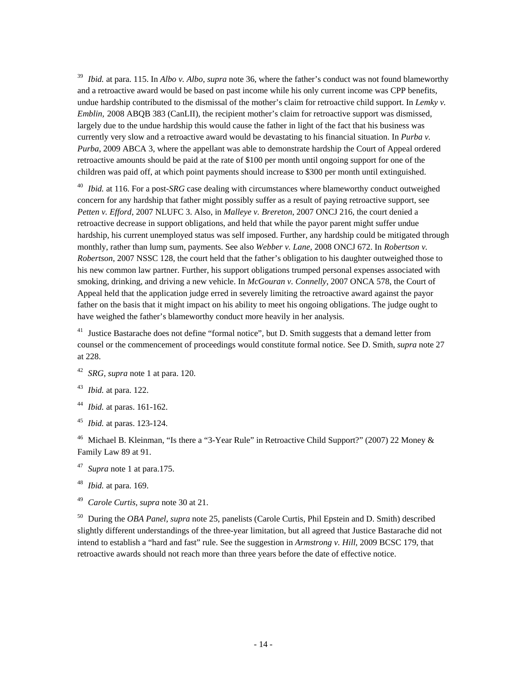<sup>39</sup> *Ibid.* at para. 115. In *Albo v. Albo, supra* note 36, where the father's conduct was not found blameworthy and a retroactive award would be based on past income while his only current income was CPP benefits, undue hardship contributed to the dismissal of the mother's claim for retroactive child support. In *Lemky v. Emblin,* 2008 ABQB 383 (CanLII), the recipient mother's claim for retroactive support was dismissed, largely due to the undue hardship this would cause the father in light of the fact that his business was currently very slow and a retroactive award would be devastating to his financial situation. In *Purba v. Purba*, 2009 ABCA 3, where the appellant was able to demonstrate hardship the Court of Appeal ordered retroactive amounts should be paid at the rate of \$100 per month until ongoing support for one of the children was paid off, at which point payments should increase to \$300 per month until extinguished.

<sup>40</sup> *Ibid.* at 116. For a post-*SRG* case dealing with circumstances where blameworthy conduct outweighed concern for any hardship that father might possibly suffer as a result of paying retroactive support, see *Petten v. Efford*, 2007 NLUFC 3. Also, in *Malleye v. Brereton*, 2007 ONCJ 216, the court denied a retroactive decrease in support obligations, and held that while the payor parent might suffer undue hardship, his current unemployed status was self imposed. Further, any hardship could be mitigated through monthly, rather than lump sum, payments. See also *Webber v. Lane,* 2008 ONCJ 672. In *Robertson v. Robertson*, 2007 NSSC 128, the court held that the father's obligation to his daughter outweighed those to his new common law partner. Further, his support obligations trumped personal expenses associated with smoking, drinking, and driving a new vehicle. In *McGouran v. Connelly*, 2007 ONCA 578, the Court of Appeal held that the application judge erred in severely limiting the retroactive award against the payor father on the basis that it might impact on his ability to meet his ongoing obligations. The judge ought to have weighed the father's blameworthy conduct more heavily in her analysis.

 $41$  Justice Bastarache does not define "formal notice", but D. Smith suggests that a demand letter from counsel or the commencement of proceedings would constitute formal notice. See D. Smith, *supra* note 27 at 228.

- <sup>42</sup> *SRG*, *supra* note 1 at para. 120.
- <sup>43</sup> *Ibid.* at para. 122.
- <sup>44</sup> *Ibid.* at paras. 161-162.
- <sup>45</sup> *Ibid.* at paras. 123-124.

<sup>46</sup> Michael B. Kleinman, "Is there a "3-Year Rule" in Retroactive Child Support?" (2007) 22 Money & Family Law 89 at 91.

- <sup>47</sup> *Supra* note 1 at para.175.
- <sup>48</sup> *Ibid.* at para. 169.
- <sup>49</sup> *Carole Curtis, supra* note 30 at 21.

50 During the *OBA Panel*, *supra* note 25, panelists (Carole Curtis, Phil Epstein and D. Smith) described slightly different understandings of the three-year limitation, but all agreed that Justice Bastarache did not intend to establish a "hard and fast" rule. See the suggestion in *Armstrong v. Hill*, 2009 BCSC 179, that retroactive awards should not reach more than three years before the date of effective notice.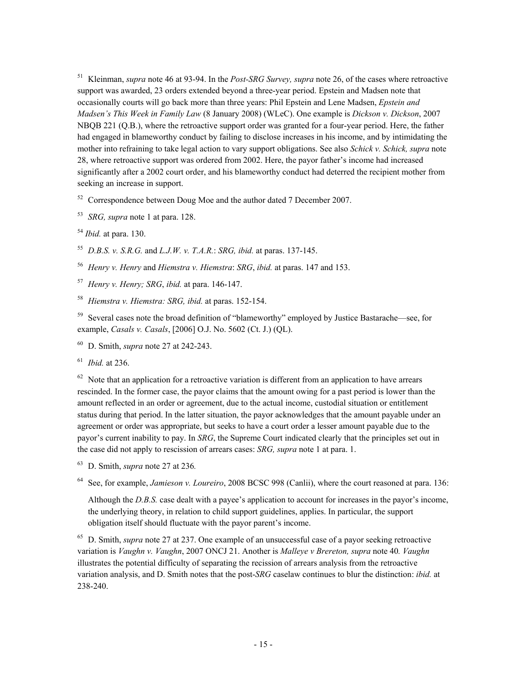51 Kleinman, *supra* note 46 at 93-94. In the *Post-SRG Survey, supra* note 26, of the cases where retroactive support was awarded, 23 orders extended beyond a three-year period. Epstein and Madsen note that occasionally courts will go back more than three years: Phil Epstein and Lene Madsen, *Epstein and Madsen's This Week in Family Law* (8 January 2008) (WLeC). One example is *Dickson v. Dickson*, 2007 NBQB 221 (Q.B.), where the retroactive support order was granted for a four-year period. Here, the father had engaged in blameworthy conduct by failing to disclose increases in his income, and by intimidating the mother into refraining to take legal action to vary support obligations. See also *Schick v. Schick, supra* note 28, where retroactive support was ordered from 2002. Here, the payor father's income had increased significantly after a 2002 court order, and his blameworthy conduct had deterred the recipient mother from seeking an increase in support.

 $52$  Correspondence between Doug Moe and the author dated 7 December 2007.

<sup>53</sup> *SRG, supra* note 1 at para. 128.

<sup>54</sup> *Ibid.* at para. 130.

<sup>55</sup> *D.B.S. v. S.R.G.* and *L.J.W. v. T.A.R.*: *SRG, ibid.* at paras. 137-145.

<sup>56</sup> *Henry v. Henry* and *Hiemstra v. Hiemstra*: *SRG*, *ibid.* at paras. 147 and 153.

- <sup>57</sup> *Henry v. Henry; SRG*, *ibid.* at para. 146-147.
- <sup>58</sup> *Hiemstra v. Hiemstra: SRG, ibid.* at paras. 152-154.

59 Several cases note the broad definition of "blameworthy" employed by Justice Bastarache—see, for example, *Casals v. Casals*, [2006] O.J. No. 5602 (Ct. J.) (QL).

60 D. Smith, *supra* note 27 at 242-243.

<sup>61</sup> *Ibid.* at 236.

 $62$  Note that an application for a retroactive variation is different from an application to have arrears rescinded. In the former case, the payor claims that the amount owing for a past period is lower than the amount reflected in an order or agreement, due to the actual income, custodial situation or entitlement status during that period. In the latter situation, the payor acknowledges that the amount payable under an agreement or order was appropriate, but seeks to have a court order a lesser amount payable due to the payor's current inability to pay. In *SRG*, the Supreme Court indicated clearly that the principles set out in the case did not apply to rescission of arrears cases: *SRG, supra* note 1 at para. 1.

63 D. Smith, *supra* note 27 at 236*.*

64 See, for example, *Jamieson v. Loureiro*, 2008 BCSC 998 (Canlii), where the court reasoned at para. 136:

Although the *D.B.S.* case dealt with a payee's application to account for increases in the payor's income, the underlying theory, in relation to child support guidelines, applies. In particular, the support obligation itself should fluctuate with the payor parent's income.

65 D. Smith, *supra* note 27 at 237. One example of an unsuccessful case of a payor seeking retroactive variation is *Vaughn v. Vaughn*, 2007 ONCJ 21. Another is *Malleye v Brereton, supra* note 40*. Vaughn* illustrates the potential difficulty of separating the recission of arrears analysis from the retroactive variation analysis, and D. Smith notes that the post-*SRG* caselaw continues to blur the distinction: *ibid.* at 238-240.